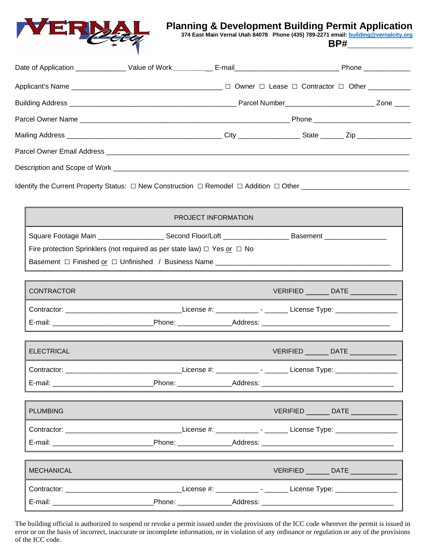

# **Planning & Development Building Per[mit Application](mailto:building@vernalcity.org) 374 East Main Vernal Utah 84078 Phone (435) 789-2271 email: [building@vernalcity.org](mailto:building@vernalcity.org)**

**BP#\_\_\_\_\_\_\_\_\_\_\_\_**

|  |  |  |  | Zone $\_\_\_\_\_\$ |  |  |
|--|--|--|--|--------------------|--|--|
|  |  |  |  |                    |  |  |
|  |  |  |  |                    |  |  |
|  |  |  |  |                    |  |  |
|  |  |  |  |                    |  |  |

Identify the Current Property Status: □ New Construction □ Remodel □ Addition □ Other \_\_\_\_\_\_\_\_\_\_\_\_\_\_\_\_\_\_\_\_\_\_\_\_\_\_\_\_

| PROJECT INFORMATION                                                                                                 |  |                                      |  |  |  |  |  |  |  |
|---------------------------------------------------------------------------------------------------------------------|--|--------------------------------------|--|--|--|--|--|--|--|
| Square Footage Main _________________________Second Floor/Loft _________________________Basement __________________ |  |                                      |  |  |  |  |  |  |  |
| Fire protection Sprinklers (not required as per state law) $\Box$ Yes or $\Box$ No                                  |  |                                      |  |  |  |  |  |  |  |
|                                                                                                                     |  |                                      |  |  |  |  |  |  |  |
|                                                                                                                     |  |                                      |  |  |  |  |  |  |  |
| <b>CONTRACTOR</b>                                                                                                   |  | VERIFIED ________ DATE ____________  |  |  |  |  |  |  |  |
|                                                                                                                     |  |                                      |  |  |  |  |  |  |  |
| E-mail: __________________________________Phone: _____________________Address: _______________________________      |  |                                      |  |  |  |  |  |  |  |
|                                                                                                                     |  |                                      |  |  |  |  |  |  |  |
| <b>ELECTRICAL</b>                                                                                                   |  | VERIFIED ________ DATE _____________ |  |  |  |  |  |  |  |
|                                                                                                                     |  |                                      |  |  |  |  |  |  |  |
|                                                                                                                     |  |                                      |  |  |  |  |  |  |  |
|                                                                                                                     |  |                                      |  |  |  |  |  |  |  |
| <b>PLUMBING</b>                                                                                                     |  | VERIFIED ________ DATE ___________   |  |  |  |  |  |  |  |
|                                                                                                                     |  |                                      |  |  |  |  |  |  |  |
|                                                                                                                     |  |                                      |  |  |  |  |  |  |  |
|                                                                                                                     |  |                                      |  |  |  |  |  |  |  |
| <b>MECHANICAL</b>                                                                                                   |  | VERIFIED ________ DATE _____________ |  |  |  |  |  |  |  |
|                                                                                                                     |  |                                      |  |  |  |  |  |  |  |
|                                                                                                                     |  |                                      |  |  |  |  |  |  |  |

The building official is authorized to suspend or revoke a permit issued under the provisions of the ICC code wherever the permit is issued in error or on the basis of incorrect, inaccurate or incomplete information, or in violation of any ordinance or regulation or any of the provisions of the ICC code.